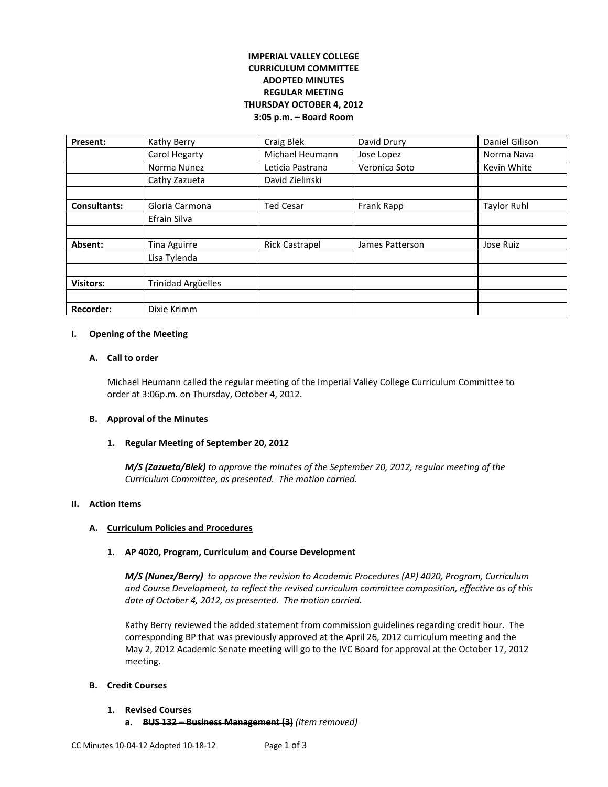# **IMPERIAL VALLEY COLLEGE CURRICULUM COMMITTEE ADOPTED MINUTES REGULAR MEETING THURSDAY OCTOBER 4, 2012 3:05 p.m. – Board Room**

| Present:            | Kathy Berry               | Craig Blek            | David Drury     | Daniel Gilison     |
|---------------------|---------------------------|-----------------------|-----------------|--------------------|
|                     | Carol Hegarty             | Michael Heumann       | Jose Lopez      | Norma Nava         |
|                     | Norma Nunez               | Leticia Pastrana      | Veronica Soto   | Kevin White        |
|                     | Cathy Zazueta             | David Zielinski       |                 |                    |
|                     |                           |                       |                 |                    |
| <b>Consultants:</b> | Gloria Carmona            | <b>Ted Cesar</b>      | Frank Rapp      | <b>Taylor Ruhl</b> |
|                     | Efrain Silva              |                       |                 |                    |
|                     |                           |                       |                 |                    |
| Absent:             | Tina Aguirre              | <b>Rick Castrapel</b> | James Patterson | Jose Ruiz          |
|                     | Lisa Tylenda              |                       |                 |                    |
|                     |                           |                       |                 |                    |
| <b>Visitors:</b>    | <b>Trinidad Argüelles</b> |                       |                 |                    |
|                     |                           |                       |                 |                    |
| <b>Recorder:</b>    | Dixie Krimm               |                       |                 |                    |

### **I. Opening of the Meeting**

#### **A. Call to order**

Michael Heumann called the regular meeting of the Imperial Valley College Curriculum Committee to order at 3:06p.m. on Thursday, October 4, 2012.

### **B. Approval of the Minutes**

### **1. Regular Meeting of September 20, 2012**

*M/S (Zazueta/Blek) to approve the minutes of the September 20, 2012, regular meeting of the Curriculum Committee, as presented. The motion carried.* 

## **II. Action Items**

#### **A. Curriculum Policies and Procedures**

### **1. AP 4020, Program, Curriculum and Course Development**

*M/S (Nunez/Berry) to approve the revision to Academic Procedures (AP) 4020, Program, Curriculum and Course Development, to reflect the revised curriculum committee composition, effective as of this date of October 4, 2012, as presented. The motion carried.*

Kathy Berry reviewed the added statement from commission guidelines regarding credit hour. The corresponding BP that was previously approved at the April 26, 2012 curriculum meeting and the May 2, 2012 Academic Senate meeting will go to the IVC Board for approval at the October 17, 2012 meeting.

### **B. Credit Courses**

### **1. Revised Courses**

**a. BUS 132 – Business Management (3)** *(Item removed)*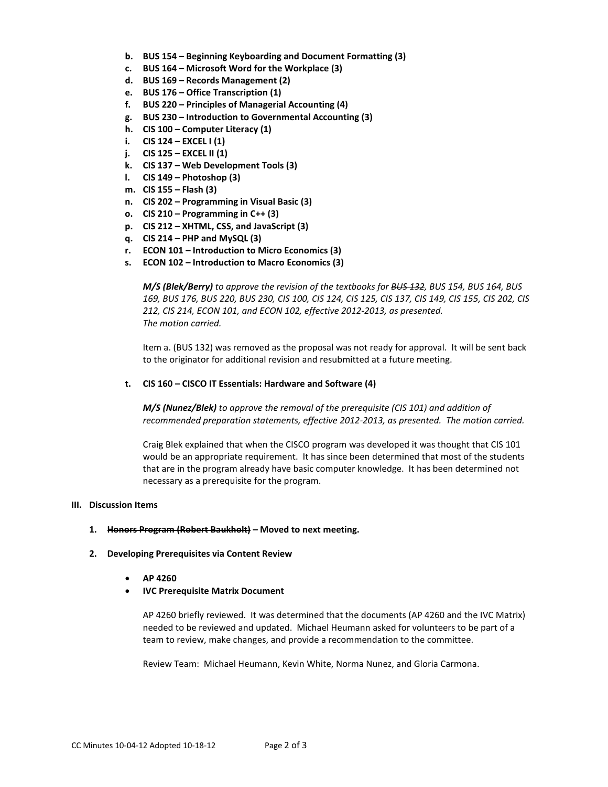- **b. BUS 154 – Beginning Keyboarding and Document Formatting (3)**
- **c. BUS 164 – Microsoft Word for the Workplace (3)**
- **d. BUS 169 – Records Management (2)**
- **e. BUS 176 – Office Transcription (1)**
- **f. BUS 220 – Principles of Managerial Accounting (4)**
- **g. BUS 230 – Introduction to Governmental Accounting (3)**
- **h. CIS 100 – Computer Literacy (1)**
- **i. CIS 124 – EXCEL I (1)**
- **j. CIS 125 – EXCEL II (1)**
- **k. CIS 137 – Web Development Tools (3)**
- **l. CIS 149 – Photoshop (3)**
- **m. CIS 155 – Flash (3)**
- **n. CIS 202 – Programming in Visual Basic (3)**
- **o. CIS 210 – Programming in C++ (3)**
- **p. CIS 212 – XHTML, CSS, and JavaScript (3)**
- **q. CIS 214 – PHP and MySQL (3)**
- **r. ECON 101 – Introduction to Micro Economics (3)**
- **s. ECON 102 – Introduction to Macro Economics (3)**

*M/S (Blek/Berry) to approve the revision of the textbooks for BUS 132, BUS 154, BUS 164, BUS 169, BUS 176, BUS 220, BUS 230, CIS 100, CIS 124, CIS 125, CIS 137, CIS 149, CIS 155, CIS 202, CIS 212, CIS 214, ECON 101, and ECON 102, effective 2012-2013, as presented. The motion carried.*

Item a. (BUS 132) was removed as the proposal was not ready for approval. It will be sent back to the originator for additional revision and resubmitted at a future meeting.

**t. CIS 160 – CISCO IT Essentials: Hardware and Software (4)**

*M/S (Nunez/Blek) to approve the removal of the prerequisite (CIS 101) and addition of recommended preparation statements, effective 2012-2013, as presented. The motion carried.*

Craig Blek explained that when the CISCO program was developed it was thought that CIS 101 would be an appropriate requirement. It has since been determined that most of the students that are in the program already have basic computer knowledge. It has been determined not necessary as a prerequisite for the program.

#### **III. Discussion Items**

### **1. Honors Program (Robert Baukholt) – Moved to next meeting.**

- **2. Developing Prerequisites via Content Review**
	- **AP 4260**
	- **IVC Prerequisite Matrix Document**

AP 4260 briefly reviewed. It was determined that the documents (AP 4260 and the IVC Matrix) needed to be reviewed and updated. Michael Heumann asked for volunteers to be part of a team to review, make changes, and provide a recommendation to the committee.

Review Team: Michael Heumann, Kevin White, Norma Nunez, and Gloria Carmona.